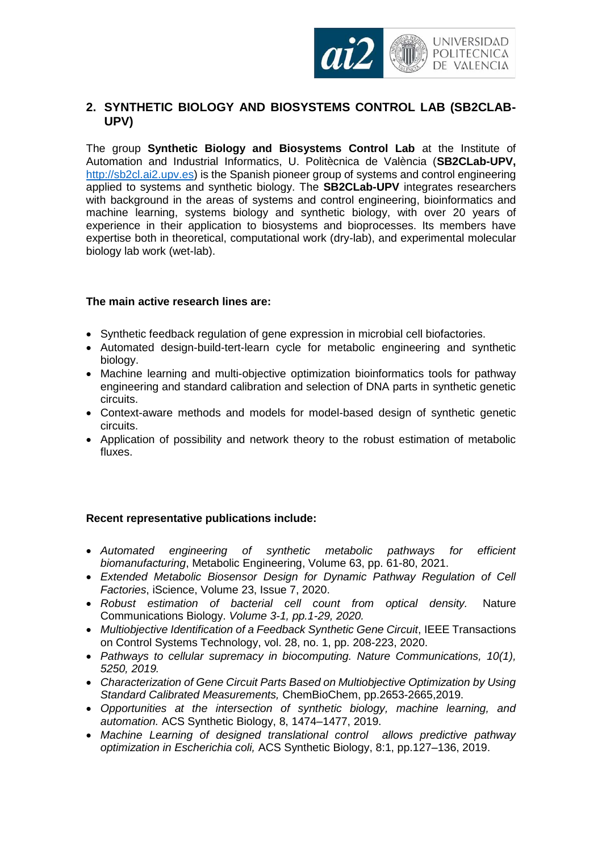

# **2. SYNTHETIC BIOLOGY AND BIOSYSTEMS CONTROL LAB (SB2CLAB-UPV)**

The group **Synthetic Biology and Biosystems Control Lab** at the Institute of Automation and Industrial Informatics, U. Politècnica de València (**SB2CLab-UPV,**  [http://sb2cl.ai2.upv.es\)](http://sb2cl.ai2.upv.es/) is the Spanish pioneer group of systems and control engineering applied to systems and synthetic biology. The **SB2CLab-UPV** integrates researchers with background in the areas of systems and control engineering, bioinformatics and machine learning, systems biology and synthetic biology, with over 20 years of experience in their application to biosystems and bioprocesses. Its members have expertise both in theoretical, computational work (dry-lab), and experimental molecular biology lab work (wet-lab).

## **The main active research lines are:**

- Synthetic feedback regulation of gene expression in microbial cell biofactories.
- Automated design-build-tert-learn cycle for metabolic engineering and synthetic biology.
- Machine learning and multi-objective optimization bioinformatics tools for pathway engineering and standard calibration and selection of DNA parts in synthetic genetic circuits.
- Context-aware methods and models for model-based design of synthetic genetic circuits.
- Application of possibility and network theory to the robust estimation of metabolic fluxes.

## **Recent representative publications include:**

- *Automated engineering of synthetic metabolic pathways for efficient biomanufacturing*, Metabolic Engineering, Volume 63, pp. 61-80, 2021.
- *Extended Metabolic Biosensor Design for Dynamic Pathway Regulation of Cell Factories*, iScience, Volume 23, Issue 7, 2020.
- *Robust estimation of bacterial cell count from optical density.* Nature Communications Biology. *Volume 3-1, pp.1-29, 2020.*
- *Multiobjective Identification of a Feedback Synthetic Gene Circuit*, IEEE Transactions on Control Systems Technology, vol. 28, no. 1, pp. 208-223, 2020.
- *Pathways to cellular supremacy in biocomputing. Nature Communications, 10(1), 5250, 2019.*
- *Characterization of Gene Circuit Parts Based on Multiobjective Optimization by Using Standard Calibrated Measurements,* ChemBioChem, pp.2653-2665,2019.
- *Opportunities at the intersection of synthetic biology, machine learning, and automation.* ACS Synthetic Biology, 8, 1474–1477, 2019.
- *Machine Learning of designed translational control allows predictive pathway optimization in Escherichia coli,* ACS Synthetic Biology, 8:1, pp.127–136, 2019.